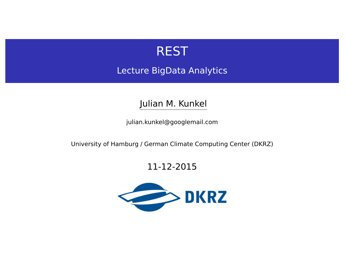

Lecture BigData Analytics

Julian M. Kunkel

<julian.kunkel@googlemail.com>

University of Hamburg / German Climate Computing Center (DKRZ)

#### 11-12-2015

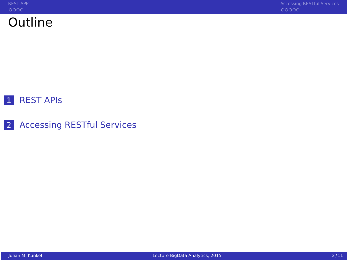

## 1 REST APIS

2 [Accessing RESTful Services](#page-6-0)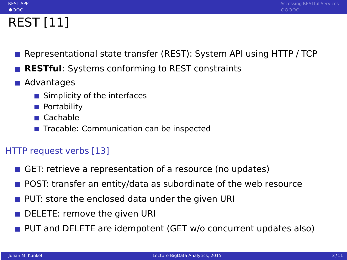# REST [11]

<span id="page-2-0"></span> $0000$ 

- Representational state transfer (REST): System API using HTTP / TCP
- **RESTful**: Systems conforming to REST constraints
- Advantages
	- Simplicity of the interfaces
	- **Portability**
	- Cachable
	- Tracable: Communication can be inspected

# HTTP request verbs [13]

- GET: retrieve a representation of a resource (no updates)
- **POST:** transfer an entity/data as subordinate of the web resource
- **PUT:** store the enclosed data under the given URI
- DELETE: remove the given URI
- **PUT** and DELETE are idempotent (GET w/o concurrent updates also)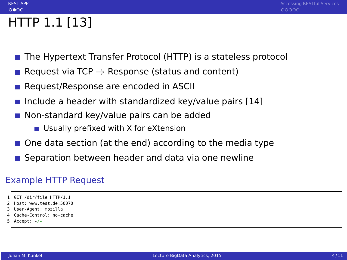# HTTP 1.1 [13]

 $0000$ 

- The Hypertext Transfer Protocol (HTTP) is a stateless protocol
- Request via TCP  $\Rightarrow$  Response (status and content)
- Request/Response are encoded in ASCII
- Include a header with standardized key/value pairs  $[14]$
- Non-standard key/value pairs can be added
	- Usually prefixed with X for eXtension
- One data section (at the end) according to the media type
- Separation between header and data via one newline

### Example HTTP Request

```
GET /dir/file HTTP/1.1
```

```
2 Host: www.test.de:50070
```
- 3 User-Agent: mozilla
- Cache-Control: no-cache
- Accept: \*/\*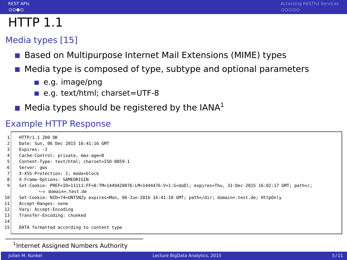## $0000$

# $HTTP$  1.1

## Media types [15]

- Based on Multipurpose Internet Mail Extensions (MIME) types
- Media type is composed of type, subtype and optional parameters
	- e.g. image/png
	- e.g. text/html; charset=UTF-8
- $\blacksquare$  Media types should be registered by the IANA<sup>1</sup>

#### Example HTTP Response

|                | HTTP/1.1 200 OK                                                                                                    |
|----------------|--------------------------------------------------------------------------------------------------------------------|
|                | Date: Sun. 06 Dec 2015 16:41:16 GMT                                                                                |
| 3              | Expires: -1                                                                                                        |
| 4              | Cache-Control: private, max-age=0                                                                                  |
| 5              | Content-Type: text/html; charset=ISO-8859-1                                                                        |
| 6              | Server: qws                                                                                                        |
| $\overline{7}$ | X-XSS-Protection: 1; mode=block                                                                                    |
| 8              | X-Frame-Options: SAMEORIGIN                                                                                        |
| 9              | Set-Cookie: PREF=ID=11111:FF=0:TM=1449420076:LM=1444476:V=1:S=doDl; expires=Thu, 31-Dec-2015 16:02:17 GMT; path=/; |
|                | $\leftrightarrow$ domain= test de                                                                                  |
| 10             | Set-Cookie: NID=74=UNTSNZy expires=Mon, 06-Jun-2016 16:41:16 GMT; path=/dir; domain=.test.de; HttpOnly             |
| 11             | Accept-Ranges: none                                                                                                |
| 12             | Vary: Accept-Encoding                                                                                              |
| 13             | Transfer-Encoding: chunked                                                                                         |
| 14             |                                                                                                                    |
| 15             | DATA formatted according to content type                                                                           |
|                |                                                                                                                    |

#### <sup>1</sup> Internet Assigned Numbers Authority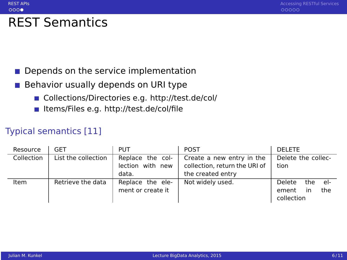# REST Semantics

 $0000$ 

#### Depends on the service implementation  $\sim$

- Behavior usually depends on URI type  $\sim$ 
	- Collections/Directories e.g.<http://test.de/col/>
	- Items/Files e.g.<http://test.de/col/file>

#### Typical semantics [11]

| Resource   | GET                 | <b>PUT</b>                                    | <b>POST</b>                                                                     | <b>DELETE</b>                                              |
|------------|---------------------|-----------------------------------------------|---------------------------------------------------------------------------------|------------------------------------------------------------|
| Collection | List the collection | Replace the col-<br>lection with new<br>data. | Create a new entry in the<br>collection, return the URI of<br>the created entry | Delete the collec-<br>tion                                 |
| Item       | Retrieve the data   | Replace the ele-<br>ment or create it         | Not widely used.                                                                | Delete<br>the<br>- el-<br>the<br>ement<br>in<br>collection |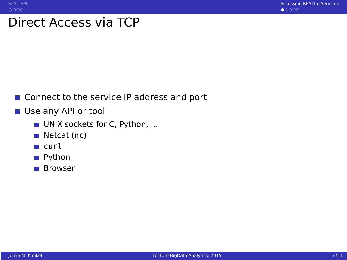# <span id="page-6-0"></span>Direct Access via TCP

- Connect to the service IP address and port
- Use any API or tool
	- UNIX sockets for C, Python, ...
	- $\blacksquare$  Netcat (nc)
	- **■** curl
	- Python
	- Browser T T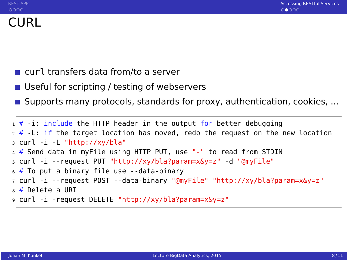- curl transfers data from/to a server
- Useful for scripting / testing of webservers
- **Supports many protocols, standards for proxy, authentication, cookies, ...**

```
# -i: include the HTTP header in the output for better debugging
 # -L: if the target location has moved, redo the request on the new location
 curl -i -L "http://xy/bla"
 4 # Send data in myFile using HTTP PUT, use "-" to read from STDIN
5 curl -i --request PUT "http://xy/bla?param=x&y=z" -d "@myFile"
 # To put a binary file use --data-binary
7 curl -i --request POST --data-binary "@myFile" "http://xy/bla?param=x&y=z"
|a| # Delete a URI
 9 curl -i -request DELETE "http://xy/bla?param=x&y=z"
```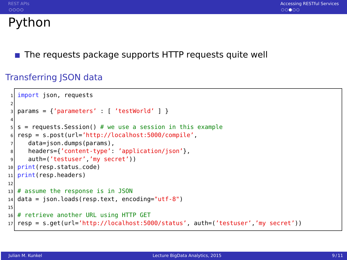# Python

The requests package supports HTTP requests quite well

#### Transferring JSON data

```
import json, requests
2
  params = {'parameters' : [ 'testWorld' ] }4
  s = requests. Session() # we use a session in this example
  6 resp = s.post(url='http://localhost:5000/compile',
     data=json.dumps(params),
8 headers={'content-type': 'application/json'},
9 auth=('testuser','my secret'))
10 print(resp.status_code)
11 print(resp.headers)
12
13 \# assume the response is in JSON
14 data = json.loads(resp.text, encoding="utf-8")
15
16 # retrieve another URL using HTTP GET
17 resp = s.get(url='http://localhost:5000/status', auth=('testuser','my secret'))
```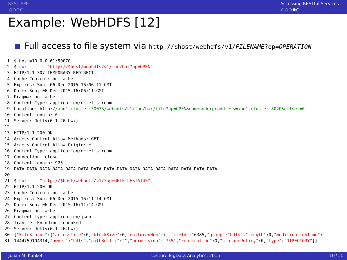# Example: WebHDFS [12]

#### Full access to file system via  $http://$host/webpdfs/v1/FILENAME?op=0PERATION$

 $$ host=10.0.0.61:50070$ 2 \$ curl -i -L "http://\$host/webhdfs/v1/foo/bar?op=OPEN" HTTP/1.1 307 TEMPORARY\_REDIRECT 4 Cache-Control: no-cache 5 Expires: Sun, 06 Dec 2015 16:06:11 GMT 6 Date: Sun, 06 Dec 2015 16:06:11 GMT 7 Pragma: no-cache Content-Type: application/octet-stream 9 Location: http://abu1.cluster:50075/webhdfs/v1/foo/bar/file?op=OPEN&namenoderpcaddress=abu1.cluster:8020&offset=0 10 Content-Length: 0 11 Server: Jetty(6.1.26.hwx) 12 13 HTTP/1.1 200 OK 14 Access-Control-Allow-Methods: GET 15 Access-Control-Allow-Origin: \*<br>16 Content-Type: application/octe 16 Content-Type: application/octet-stream 17 Connection: close 18 Content-Length: 925 19 DATA DATA DATA DATA DATA DATA DATA DATA DATA DATA DATA DATA DATA DATA DATA DATA 20 21 \$ curl -i "http://\$host/webhdfs/v1/?op=GETFILESTATUS" 22 HTTP/1.1 200 OK 23 Cache-Control: no-cache 24 Expires: Sun, 06 Dec 2015 16:11:14 GMT 25 Date: Sun, 06 Dec 2015 16:11:14 GMT 26 Pragma: no-cache 27 Content-Type: application/json 28 Transfer-Encoding: chunked 29 Server: Jetty(6.1.26.hwx) 30 {"FileStatus":{"accessTime":0,"blockSize":0,"childrenNum":7,"fileId":16385,"group":"hdfs","length":0,"modificationTime": 31 1444759104314,"owner":"hdfs","pathSuffix":"","permission":"755","replication":0,"storagePolicy":0,"type":"DIRECTORY"}}